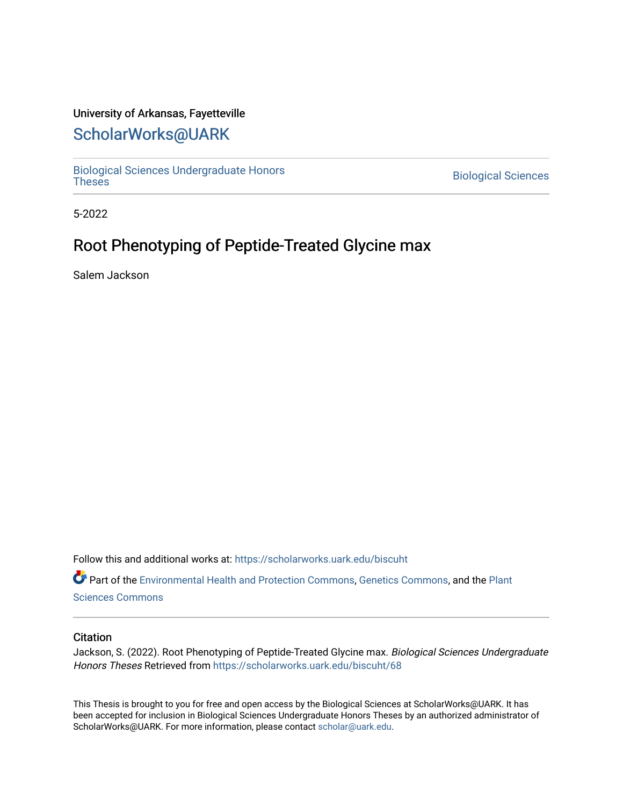## University of Arkansas, Fayetteville

# [ScholarWorks@UARK](https://scholarworks.uark.edu/)

[Biological Sciences Undergraduate Honors](https://scholarworks.uark.edu/biscuht)

**Biological Sciences** 

5-2022

# Root Phenotyping of Peptide-Treated Glycine max

Salem Jackson

Follow this and additional works at: [https://scholarworks.uark.edu/biscuht](https://scholarworks.uark.edu/biscuht?utm_source=scholarworks.uark.edu%2Fbiscuht%2F68&utm_medium=PDF&utm_campaign=PDFCoverPages) 

Part of the [Environmental Health and Protection Commons,](http://network.bepress.com/hgg/discipline/172?utm_source=scholarworks.uark.edu%2Fbiscuht%2F68&utm_medium=PDF&utm_campaign=PDFCoverPages) [Genetics Commons,](http://network.bepress.com/hgg/discipline/29?utm_source=scholarworks.uark.edu%2Fbiscuht%2F68&utm_medium=PDF&utm_campaign=PDFCoverPages) and the [Plant](http://network.bepress.com/hgg/discipline/102?utm_source=scholarworks.uark.edu%2Fbiscuht%2F68&utm_medium=PDF&utm_campaign=PDFCoverPages)  [Sciences Commons](http://network.bepress.com/hgg/discipline/102?utm_source=scholarworks.uark.edu%2Fbiscuht%2F68&utm_medium=PDF&utm_campaign=PDFCoverPages) 

#### **Citation**

Jackson, S. (2022). Root Phenotyping of Peptide-Treated Glycine max. Biological Sciences Undergraduate Honors Theses Retrieved from [https://scholarworks.uark.edu/biscuht/68](https://scholarworks.uark.edu/biscuht/68?utm_source=scholarworks.uark.edu%2Fbiscuht%2F68&utm_medium=PDF&utm_campaign=PDFCoverPages) 

This Thesis is brought to you for free and open access by the Biological Sciences at ScholarWorks@UARK. It has been accepted for inclusion in Biological Sciences Undergraduate Honors Theses by an authorized administrator of ScholarWorks@UARK. For more information, please contact [scholar@uark.edu](mailto:scholar@uark.edu).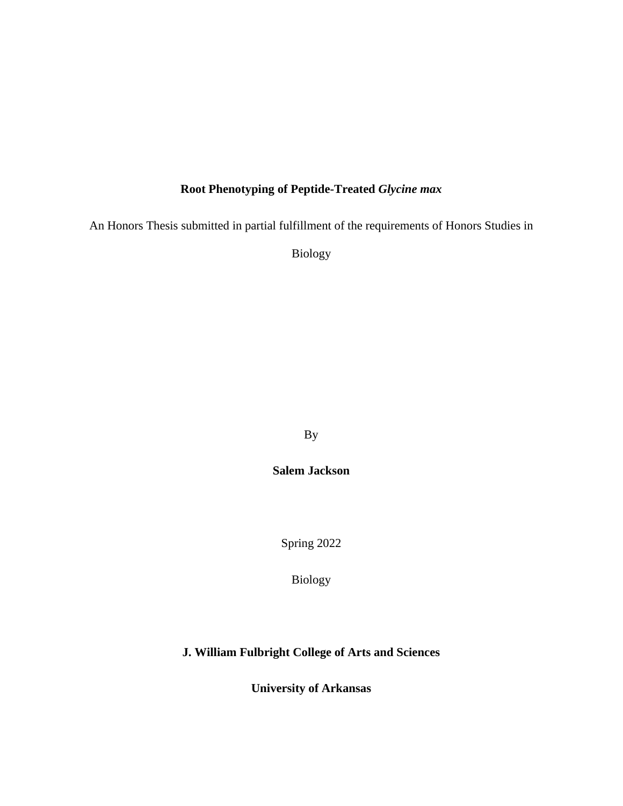## **Root Phenotyping of Peptide-Treated** *Glycine max*

An Honors Thesis submitted in partial fulfillment of the requirements of Honors Studies in

Biology

By

**Salem Jackson** 

Spring 2022

Biology

## **J. William Fulbright College of Arts and Sciences**

**University of Arkansas**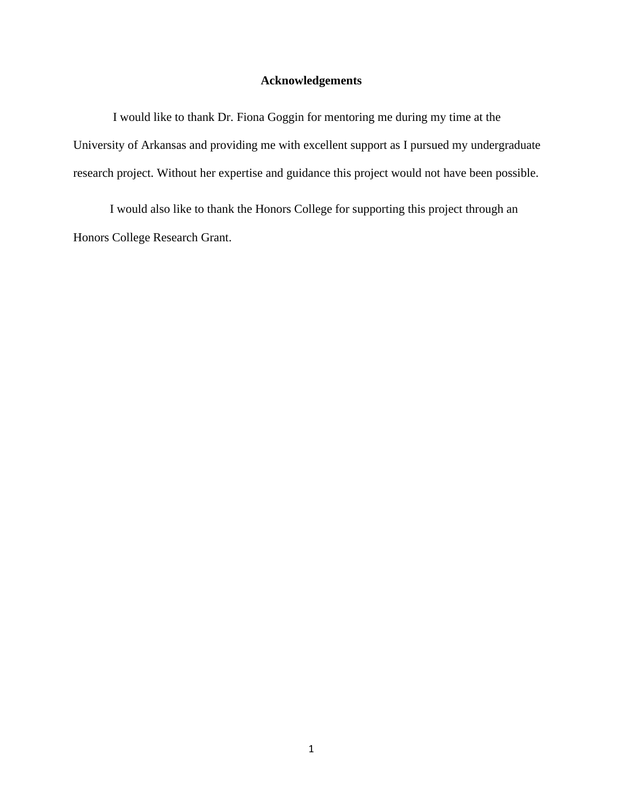## **Acknowledgements**

I would like to thank Dr. Fiona Goggin for mentoring me during my time at the University of Arkansas and providing me with excellent support as I pursued my undergraduate research project. Without her expertise and guidance this project would not have been possible.

I would also like to thank the Honors College for supporting this project through an Honors College Research Grant.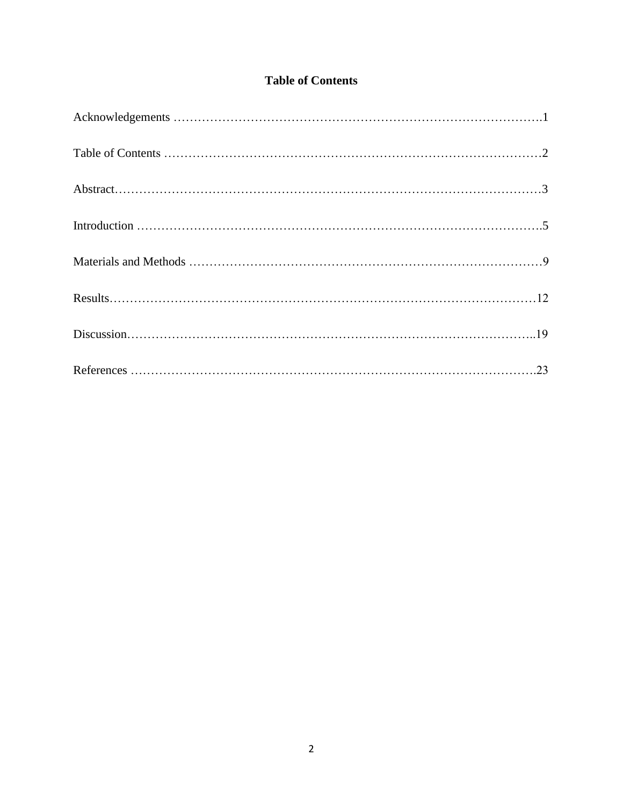## **Table of Contents**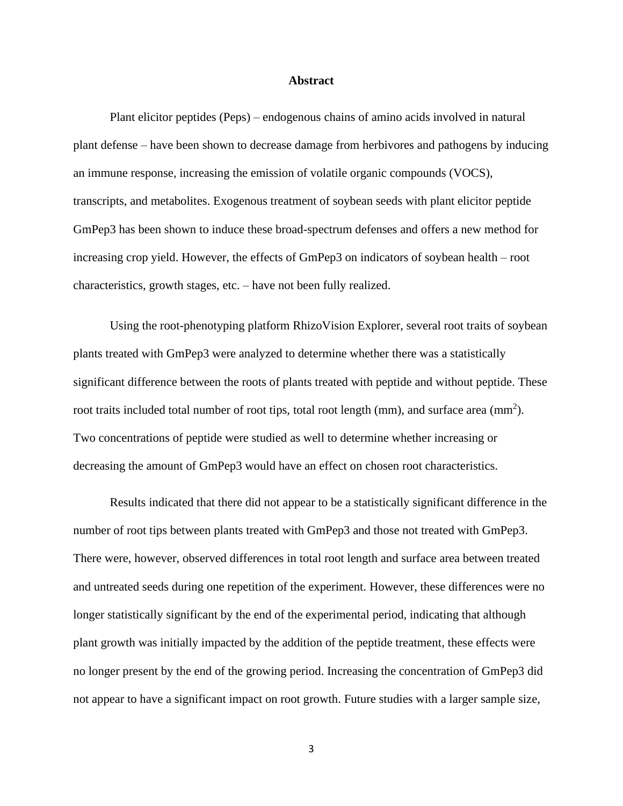#### **Abstract**

Plant elicitor peptides (Peps) – endogenous chains of amino acids involved in natural plant defense – have been shown to decrease damage from herbivores and pathogens by inducing an immune response, increasing the emission of volatile organic compounds (VOCS), transcripts, and metabolites. Exogenous treatment of soybean seeds with plant elicitor peptide GmPep3 has been shown to induce these broad-spectrum defenses and offers a new method for increasing crop yield. However, the effects of GmPep3 on indicators of soybean health – root characteristics, growth stages, etc. – have not been fully realized.

Using the root-phenotyping platform RhizoVision Explorer, several root traits of soybean plants treated with GmPep3 were analyzed to determine whether there was a statistically significant difference between the roots of plants treated with peptide and without peptide. These root traits included total number of root tips, total root length (mm), and surface area (mm<sup>2</sup>). Two concentrations of peptide were studied as well to determine whether increasing or decreasing the amount of GmPep3 would have an effect on chosen root characteristics.

Results indicated that there did not appear to be a statistically significant difference in the number of root tips between plants treated with GmPep3 and those not treated with GmPep3. There were, however, observed differences in total root length and surface area between treated and untreated seeds during one repetition of the experiment. However, these differences were no longer statistically significant by the end of the experimental period, indicating that although plant growth was initially impacted by the addition of the peptide treatment, these effects were no longer present by the end of the growing period. Increasing the concentration of GmPep3 did not appear to have a significant impact on root growth. Future studies with a larger sample size,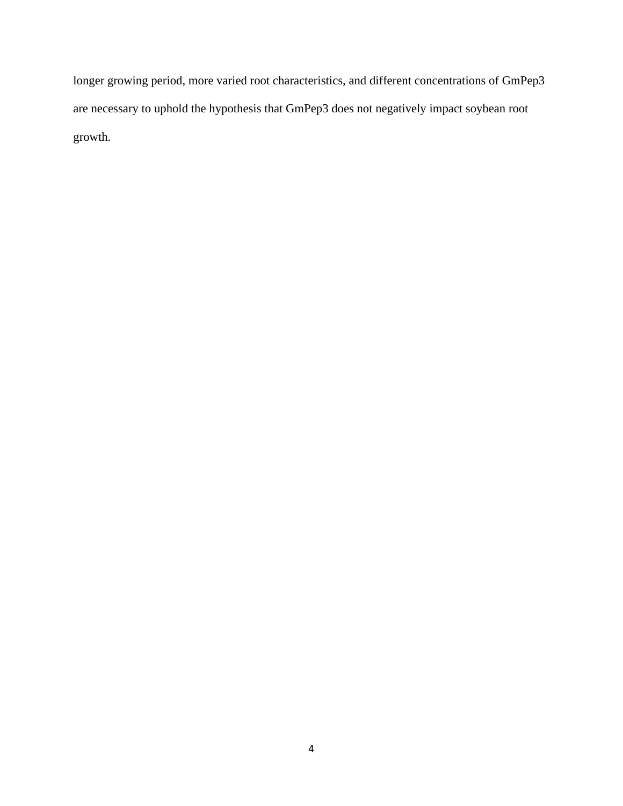longer growing period, more varied root characteristics, and different concentrations of GmPep3 are necessary to uphold the hypothesis that GmPep3 does not negatively impact soybean root growth.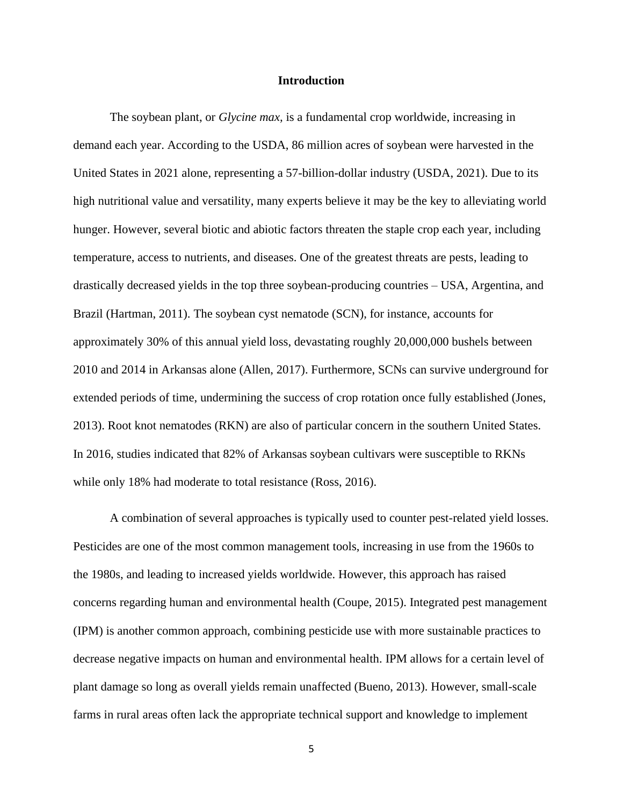#### **Introduction**

The soybean plant, or *Glycine max,* is a fundamental crop worldwide, increasing in demand each year. According to the USDA, 86 million acres of soybean were harvested in the United States in 2021 alone, representing a 57-billion-dollar industry (USDA, 2021). Due to its high nutritional value and versatility, many experts believe it may be the key to alleviating world hunger. However, several biotic and abiotic factors threaten the staple crop each year, including temperature, access to nutrients, and diseases. One of the greatest threats are pests, leading to drastically decreased yields in the top three soybean-producing countries – USA, Argentina, and Brazil (Hartman, 2011). The soybean cyst nematode (SCN), for instance, accounts for approximately 30% of this annual yield loss, devastating roughly 20,000,000 bushels between 2010 and 2014 in Arkansas alone (Allen, 2017). Furthermore, SCNs can survive underground for extended periods of time, undermining the success of crop rotation once fully established (Jones, 2013). Root knot nematodes (RKN) are also of particular concern in the southern United States. In 2016, studies indicated that 82% of Arkansas soybean cultivars were susceptible to RKNs while only 18% had moderate to total resistance (Ross, 2016).

A combination of several approaches is typically used to counter pest-related yield losses. Pesticides are one of the most common management tools, increasing in use from the 1960s to the 1980s, and leading to increased yields worldwide. However, this approach has raised concerns regarding human and environmental health (Coupe, 2015). Integrated pest management (IPM) is another common approach, combining pesticide use with more sustainable practices to decrease negative impacts on human and environmental health. IPM allows for a certain level of plant damage so long as overall yields remain unaffected (Bueno, 2013). However, small-scale farms in rural areas often lack the appropriate technical support and knowledge to implement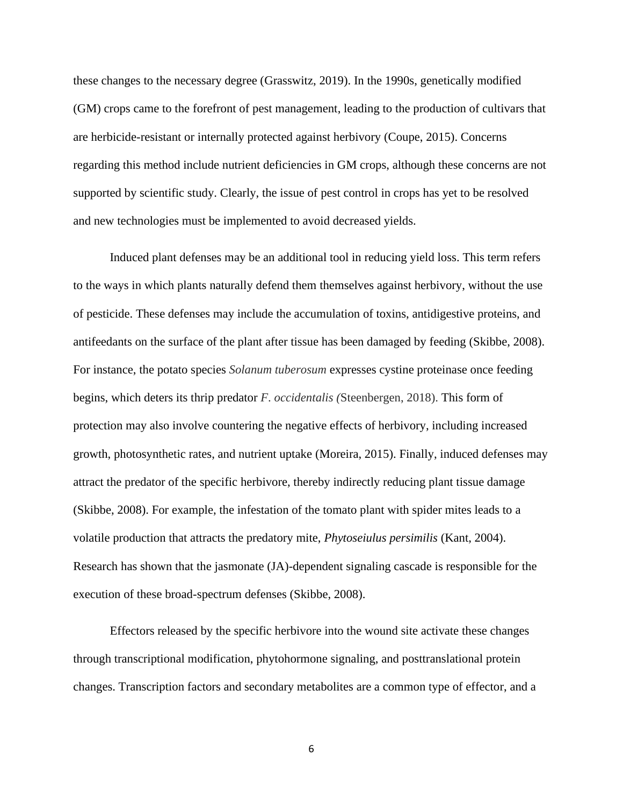these changes to the necessary degree (Grasswitz, 2019). In the 1990s, genetically modified (GM) crops came to the forefront of pest management, leading to the production of cultivars that are herbicide-resistant or internally protected against herbivory (Coupe, 2015). Concerns regarding this method include nutrient deficiencies in GM crops, although these concerns are not supported by scientific study. Clearly, the issue of pest control in crops has yet to be resolved and new technologies must be implemented to avoid decreased yields.

Induced plant defenses may be an additional tool in reducing yield loss. This term refers to the ways in which plants naturally defend them themselves against herbivory, without the use of pesticide. These defenses may include the accumulation of toxins, antidigestive proteins, and antifeedants on the surface of the plant after tissue has been damaged by feeding (Skibbe, 2008). For instance, the potato species *Solanum tuberosum* expresses cystine proteinase once feeding begins, which deters its thrip predator *F*. *occidentalis (*Steenbergen, 2018). This form of protection may also involve countering the negative effects of herbivory, including increased growth, photosynthetic rates, and nutrient uptake (Moreira, 2015). Finally, induced defenses may attract the predator of the specific herbivore, thereby indirectly reducing plant tissue damage (Skibbe, 2008). For example, the infestation of the tomato plant with spider mites leads to a volatile production that attracts the predatory mite, *Phytoseiulus persimilis* (Kant, 2004). Research has shown that the jasmonate (JA)-dependent signaling cascade is responsible for the execution of these broad-spectrum defenses (Skibbe, 2008).

Effectors released by the specific herbivore into the wound site activate these changes through transcriptional modification, phytohormone signaling, and posttranslational protein changes. Transcription factors and secondary metabolites are a common type of effector, and a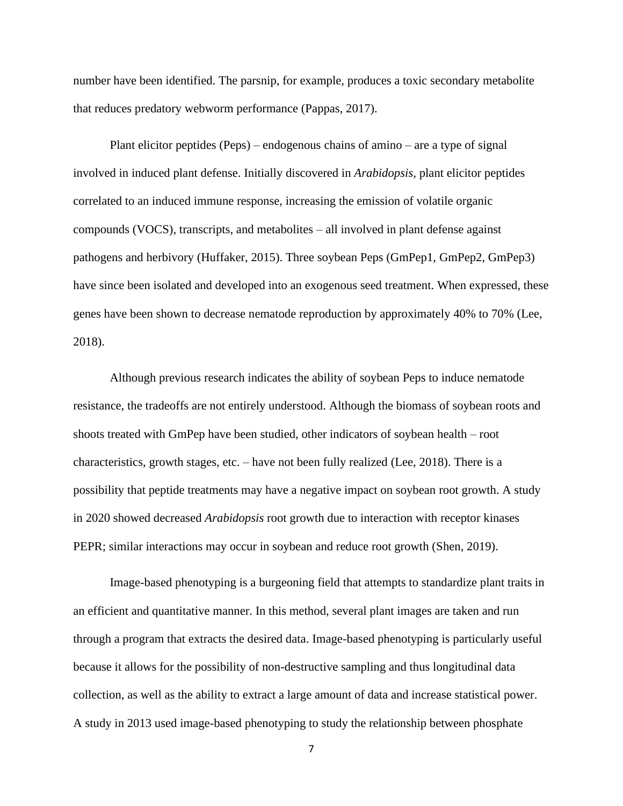number have been identified. The parsnip, for example, produces a toxic secondary metabolite that reduces predatory webworm performance (Pappas, 2017).

Plant elicitor peptides (Peps) – endogenous chains of amino – are a type of signal involved in induced plant defense. Initially discovered in *Arabidopsis,* plant elicitor peptides correlated to an induced immune response, increasing the emission of volatile organic compounds (VOCS), transcripts, and metabolites – all involved in plant defense against pathogens and herbivory (Huffaker, 2015). Three soybean Peps (GmPep1, GmPep2, GmPep3) have since been isolated and developed into an exogenous seed treatment. When expressed, these genes have been shown to decrease nematode reproduction by approximately 40% to 70% (Lee, 2018).

Although previous research indicates the ability of soybean Peps to induce nematode resistance, the tradeoffs are not entirely understood. Although the biomass of soybean roots and shoots treated with GmPep have been studied, other indicators of soybean health – root characteristics, growth stages, etc. – have not been fully realized (Lee, 2018). There is a possibility that peptide treatments may have a negative impact on soybean root growth. A study in 2020 showed decreased *Arabidopsis* root growth due to interaction with receptor kinases PEPR; similar interactions may occur in soybean and reduce root growth (Shen, 2019).

Image-based phenotyping is a burgeoning field that attempts to standardize plant traits in an efficient and quantitative manner. In this method, several plant images are taken and run through a program that extracts the desired data. Image-based phenotyping is particularly useful because it allows for the possibility of non-destructive sampling and thus longitudinal data collection, as well as the ability to extract a large amount of data and increase statistical power. A study in 2013 used image-based phenotyping to study the relationship between phosphate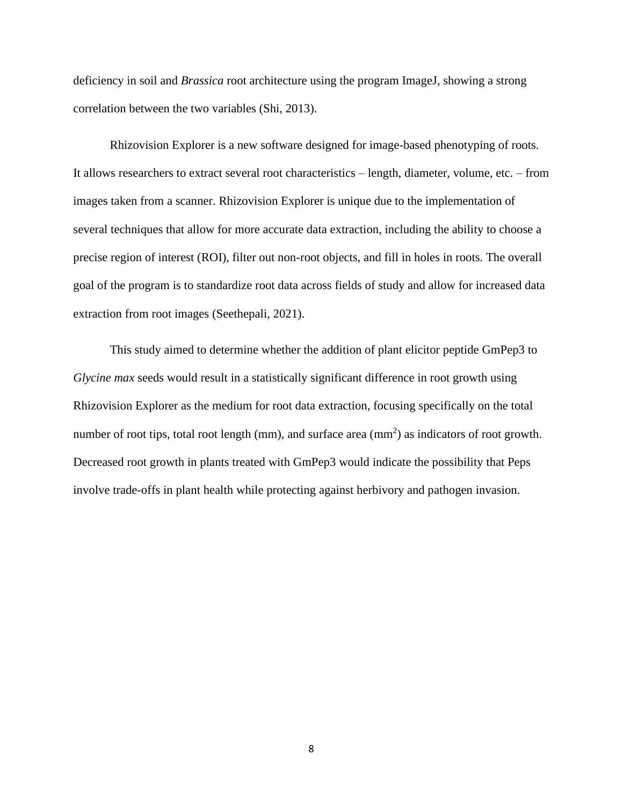deficiency in soil and *Brassica* root architecture using the program ImageJ, showing a strong correlation between the two variables (Shi, 2013).

Rhizovision Explorer is a new software designed for image-based phenotyping of roots. It allows researchers to extract several root characteristics – length, diameter, volume, etc. – from images taken from a scanner. Rhizovision Explorer is unique due to the implementation of several techniques that allow for more accurate data extraction, including the ability to choose a precise region of interest (ROI), filter out non-root objects, and fill in holes in roots. The overall goal of the program is to standardize root data across fields of study and allow for increased data extraction from root images (Seethepali, 2021).

This study aimed to determine whether the addition of plant elicitor peptide GmPep3 to *Glycine max* seeds would result in a statistically significant difference in root growth using Rhizovision Explorer as the medium for root data extraction, focusing specifically on the total number of root tips, total root length (mm), and surface area (mm<sup>2</sup>) as indicators of root growth. Decreased root growth in plants treated with GmPep3 would indicate the possibility that Peps involve trade-offs in plant health while protecting against herbivory and pathogen invasion.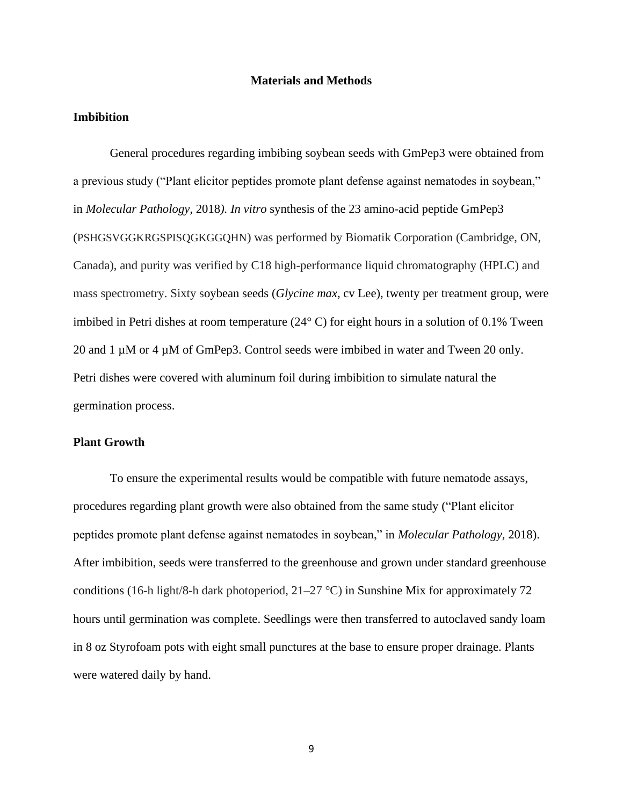#### **Materials and Methods**

#### **Imbibition**

General procedures regarding imbibing soybean seeds with GmPep3 were obtained from a previous study ("Plant elicitor peptides promote plant defense against nematodes in soybean," in *Molecular Pathology,* 2018*). In vitro* synthesis of the 23 amino-acid peptide GmPep3 (PSHGSVGGKRGSPISQGKGGQHN) was performed by Biomatik Corporation (Cambridge, ON, Canada), and purity was verified by C18 high-performance liquid chromatography (HPLC) and mass spectrometry. Sixty soybean seeds (*Glycine max,* cv Lee), twenty per treatment group, were imbibed in Petri dishes at room temperature (24° C) for eight hours in a solution of 0.1% Tween 20 and 1  $\mu$ M or 4  $\mu$ M of GmPep3. Control seeds were imbibed in water and Tween 20 only. Petri dishes were covered with aluminum foil during imbibition to simulate natural the germination process.

### **Plant Growth**

To ensure the experimental results would be compatible with future nematode assays, procedures regarding plant growth were also obtained from the same study ("Plant elicitor peptides promote plant defense against nematodes in soybean," in *Molecular Pathology,* 2018). After imbibition, seeds were transferred to the greenhouse and grown under standard greenhouse conditions (16-h light/8-h dark photoperiod,  $21-27$  °C) in Sunshine Mix for approximately 72 hours until germination was complete. Seedlings were then transferred to autoclaved sandy loam in 8 oz Styrofoam pots with eight small punctures at the base to ensure proper drainage. Plants were watered daily by hand.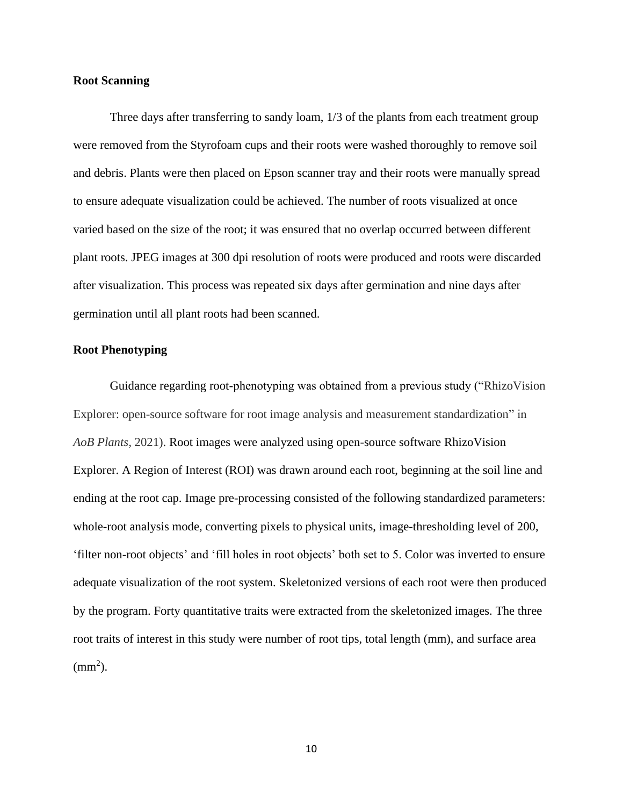#### **Root Scanning**

Three days after transferring to sandy loam, 1/3 of the plants from each treatment group were removed from the Styrofoam cups and their roots were washed thoroughly to remove soil and debris. Plants were then placed on Epson scanner tray and their roots were manually spread to ensure adequate visualization could be achieved. The number of roots visualized at once varied based on the size of the root; it was ensured that no overlap occurred between different plant roots. JPEG images at 300 dpi resolution of roots were produced and roots were discarded after visualization. This process was repeated six days after germination and nine days after germination until all plant roots had been scanned.

#### **Root Phenotyping**

Guidance regarding root-phenotyping was obtained from a previous study ("RhizoVision Explorer: open-source software for root image analysis and measurement standardization" in *AoB Plants,* 2021). Root images were analyzed using open-source software RhizoVision Explorer. A Region of Interest (ROI) was drawn around each root, beginning at the soil line and ending at the root cap. Image pre-processing consisted of the following standardized parameters: whole-root analysis mode, converting pixels to physical units, image-thresholding level of 200, 'filter non-root objects' and 'fill holes in root objects' both set to 5. Color was inverted to ensure adequate visualization of the root system. Skeletonized versions of each root were then produced by the program. Forty quantitative traits were extracted from the skeletonized images. The three root traits of interest in this study were number of root tips, total length (mm), and surface area  $\text{(mm}^2)$ .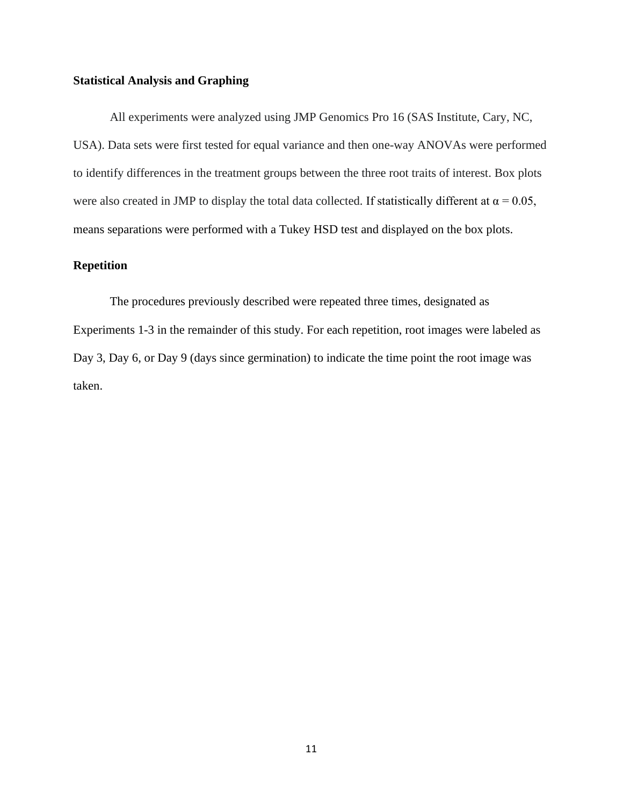#### **Statistical Analysis and Graphing**

All experiments were analyzed using JMP Genomics Pro 16 (SAS Institute, Cary, NC, USA). Data sets were first tested for equal variance and then one-way ANOVAs were performed to identify differences in the treatment groups between the three root traits of interest. Box plots were also created in JMP to display the total data collected. If statistically different at  $\alpha = 0.05$ , means separations were performed with a Tukey HSD test and displayed on the box plots.

### **Repetition**

The procedures previously described were repeated three times, designated as Experiments 1-3 in the remainder of this study. For each repetition, root images were labeled as Day 3, Day 6, or Day 9 (days since germination) to indicate the time point the root image was taken.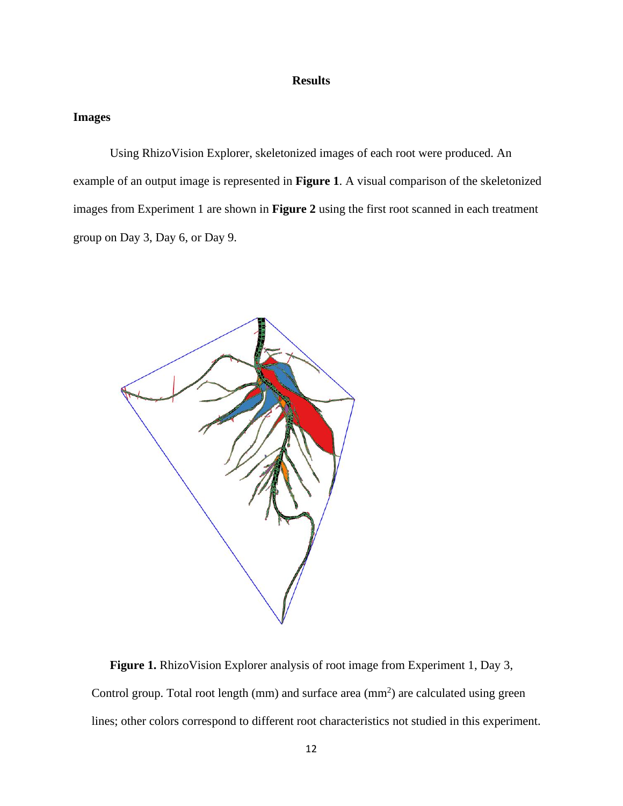### **Results**

#### **Images**

Using RhizoVision Explorer, skeletonized images of each root were produced. An example of an output image is represented in **Figure 1**. A visual comparison of the skeletonized images from Experiment 1 are shown in **Figure 2** using the first root scanned in each treatment group on Day 3, Day 6, or Day 9.



**Figure 1.** RhizoVision Explorer analysis of root image from Experiment 1, Day 3, Control group. Total root length  $(mm)$  and surface area  $(mm<sup>2</sup>)$  are calculated using green lines; other colors correspond to different root characteristics not studied in this experiment.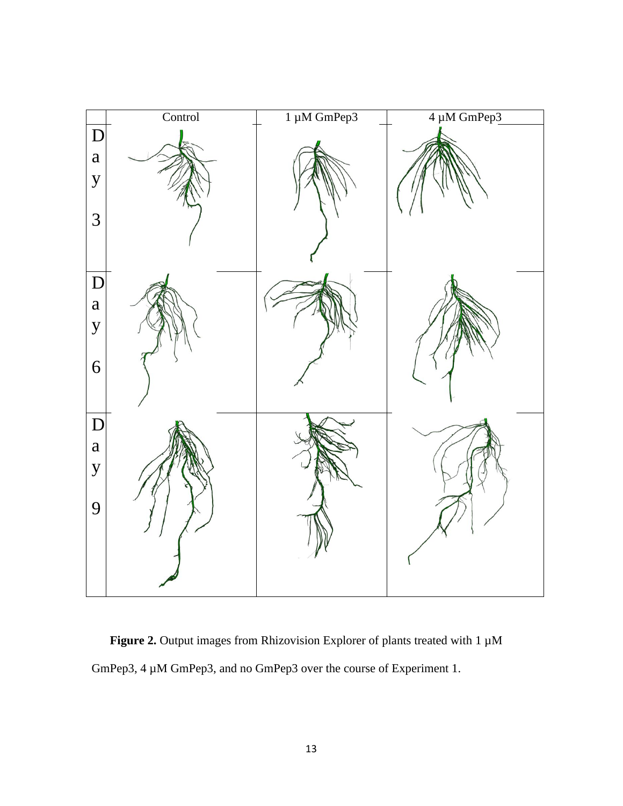

Figure 2. Output images from Rhizovision Explorer of plants treated with 1  $\mu$ M GmPep3, 4 µM GmPep3, and no GmPep3 over the course of Experiment 1.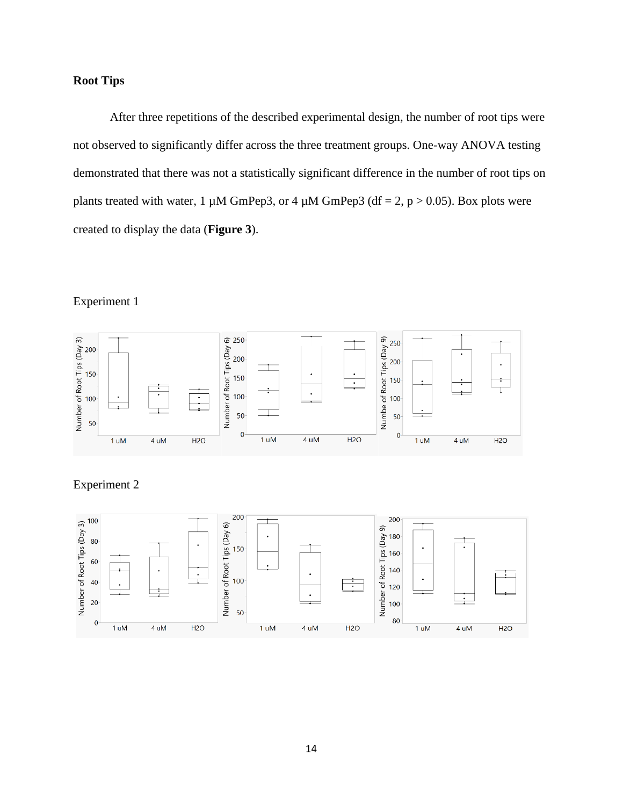## **Root Tips**

After three repetitions of the described experimental design, the number of root tips were not observed to significantly differ across the three treatment groups. One-way ANOVA testing demonstrated that there was not a statistically significant difference in the number of root tips on plants treated with water, 1  $\mu$ M GmPep3, or 4  $\mu$ M GmPep3 (df = 2, p > 0.05). Box plots were created to display the data (**Figure 3**).

## Experiment 1



## Experiment 2

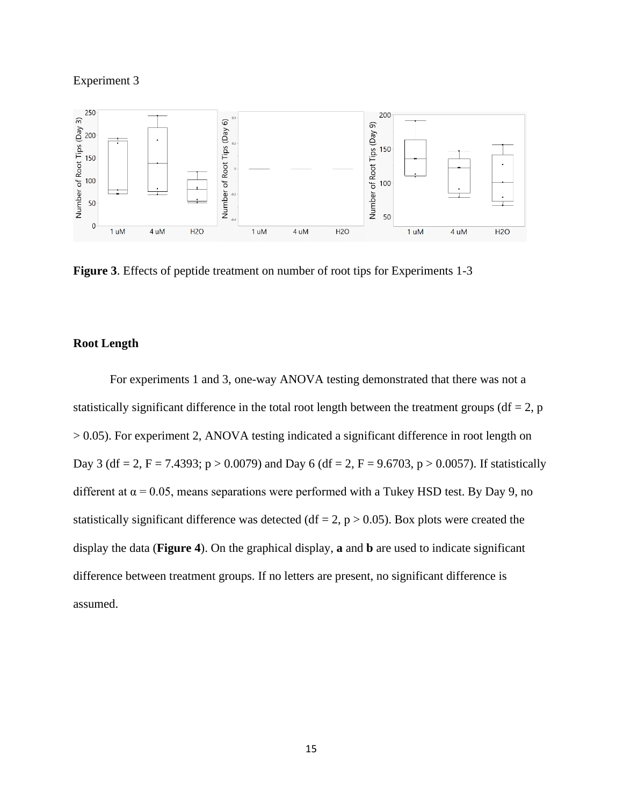#### Experiment 3



**Figure 3**. Effects of peptide treatment on number of root tips for Experiments 1-3

### **Root Length**

For experiments 1 and 3, one-way ANOVA testing demonstrated that there was not a statistically significant difference in the total root length between the treatment groups ( $df = 2$ , p > 0.05). For experiment 2, ANOVA testing indicated a significant difference in root length on Day 3 (df = 2, F = 7.4393; p > 0.0079) and Day 6 (df = 2, F = 9.6703, p > 0.0057). If statistically different at  $\alpha = 0.05$ , means separations were performed with a Tukey HSD test. By Day 9, no statistically significant difference was detected (df = 2,  $p > 0.05$ ). Box plots were created the display the data (**Figure 4**). On the graphical display, **a** and **b** are used to indicate significant difference between treatment groups. If no letters are present, no significant difference is assumed.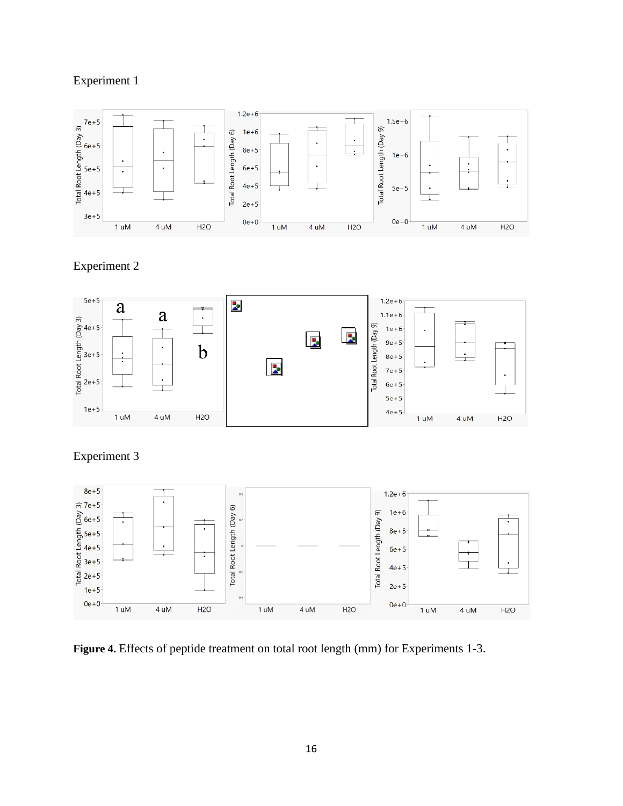## Experiment 1



Experiment 2



Experiment 3



Figure 4. Effects of peptide treatment on total root length (mm) for Experiments 1-3.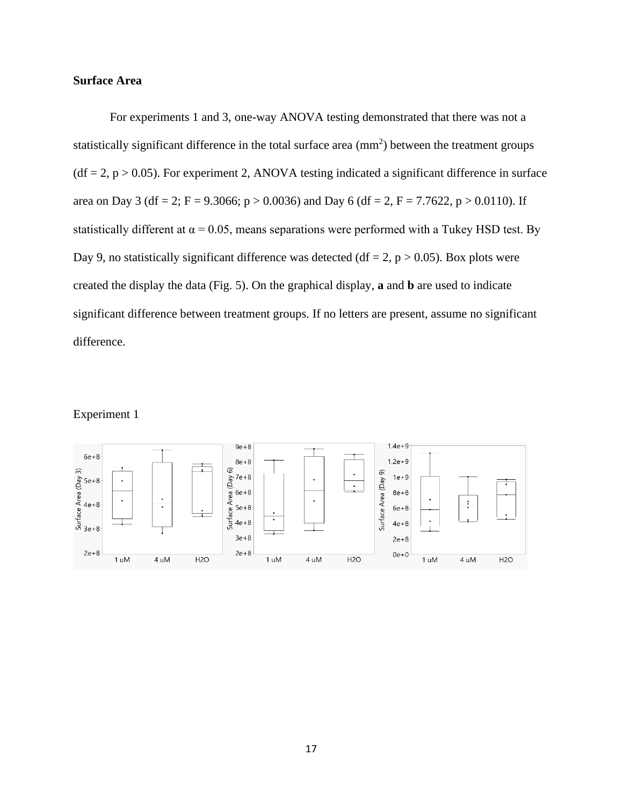## **Surface Area**

For experiments 1 and 3, one-way ANOVA testing demonstrated that there was not a statistically significant difference in the total surface area  $\text{(mm)}^2$ ) between the treatment groups  $(df = 2, p > 0.05)$ . For experiment 2, ANOVA testing indicated a significant difference in surface area on Day 3 (df = 2; F = 9.3066; p > 0.0036) and Day 6 (df = 2, F = 7.7622, p > 0.0110). If statistically different at  $\alpha = 0.05$ , means separations were performed with a Tukey HSD test. By Day 9, no statistically significant difference was detected (df = 2, p > 0.05). Box plots were created the display the data (Fig. 5). On the graphical display, **a** and **b** are used to indicate significant difference between treatment groups. If no letters are present, assume no significant difference.

### Experiment 1

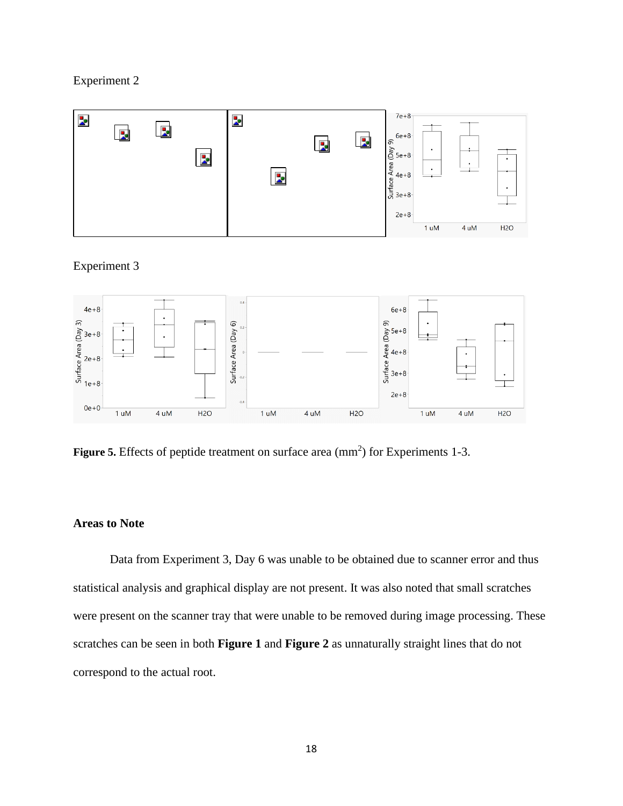## Experiment 2



## Experiment 3



Figure 5. Effects of peptide treatment on surface area (mm<sup>2</sup>) for Experiments 1-3.

## **Areas to Note**

Data from Experiment 3, Day 6 was unable to be obtained due to scanner error and thus statistical analysis and graphical display are not present. It was also noted that small scratches were present on the scanner tray that were unable to be removed during image processing. These scratches can be seen in both **Figure 1** and **Figure 2** as unnaturally straight lines that do not correspond to the actual root.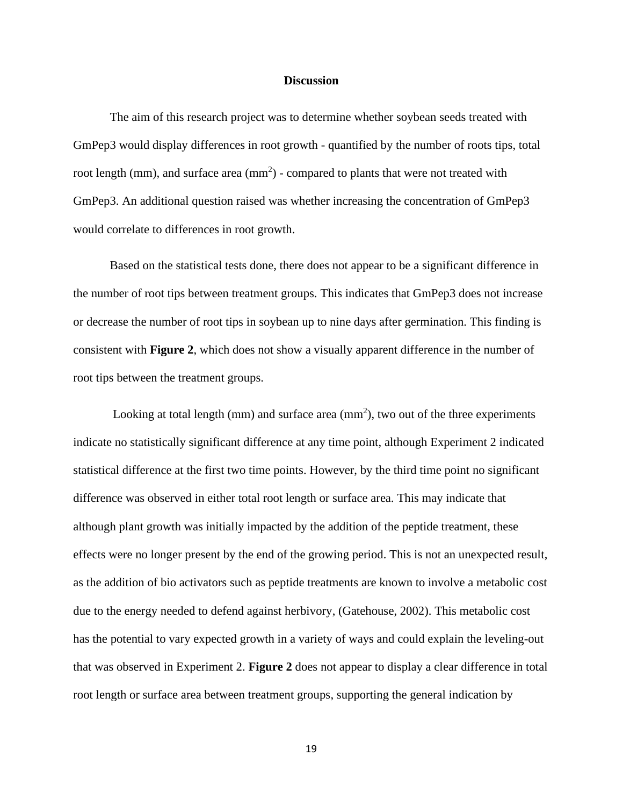#### **Discussion**

The aim of this research project was to determine whether soybean seeds treated with GmPep3 would display differences in root growth - quantified by the number of roots tips, total root length (mm), and surface area  $(mm<sup>2</sup>)$  - compared to plants that were not treated with GmPep3. An additional question raised was whether increasing the concentration of GmPep3 would correlate to differences in root growth.

Based on the statistical tests done, there does not appear to be a significant difference in the number of root tips between treatment groups. This indicates that GmPep3 does not increase or decrease the number of root tips in soybean up to nine days after germination. This finding is consistent with **Figure 2**, which does not show a visually apparent difference in the number of root tips between the treatment groups.

Looking at total length (mm) and surface area (mm<sup>2</sup>), two out of the three experiments indicate no statistically significant difference at any time point, although Experiment 2 indicated statistical difference at the first two time points. However, by the third time point no significant difference was observed in either total root length or surface area. This may indicate that although plant growth was initially impacted by the addition of the peptide treatment, these effects were no longer present by the end of the growing period. This is not an unexpected result, as the addition of bio activators such as peptide treatments are known to involve a metabolic cost due to the energy needed to defend against herbivory, (Gatehouse, 2002). This metabolic cost has the potential to vary expected growth in a variety of ways and could explain the leveling-out that was observed in Experiment 2. **Figure 2** does not appear to display a clear difference in total root length or surface area between treatment groups, supporting the general indication by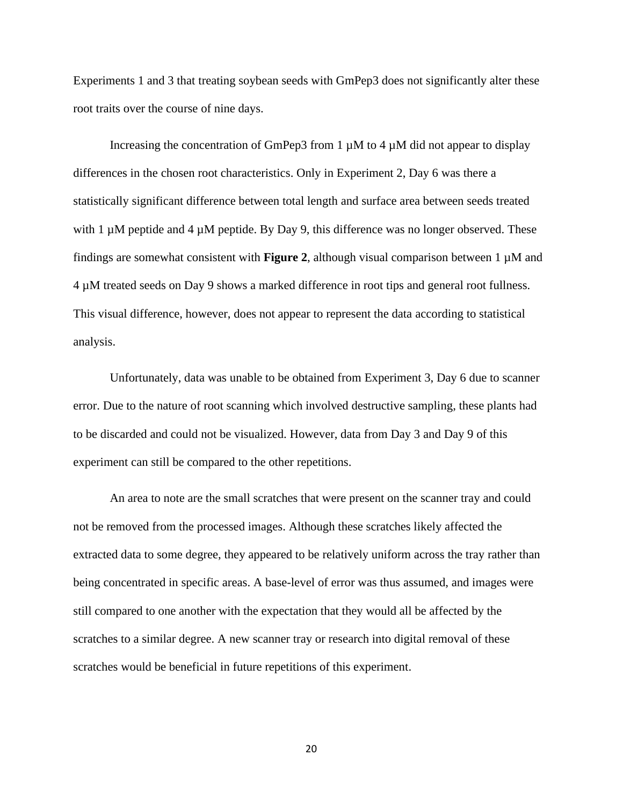Experiments 1 and 3 that treating soybean seeds with GmPep3 does not significantly alter these root traits over the course of nine days.

Increasing the concentration of GmPep3 from 1  $\mu$ M to 4  $\mu$ M did not appear to display differences in the chosen root characteristics. Only in Experiment 2, Day 6 was there a statistically significant difference between total length and surface area between seeds treated with 1  $\mu$ M peptide and 4  $\mu$ M peptide. By Day 9, this difference was no longer observed. These findings are somewhat consistent with **Figure 2**, although visual comparison between 1  $\mu$ M and 4 µM treated seeds on Day 9 shows a marked difference in root tips and general root fullness. This visual difference, however, does not appear to represent the data according to statistical analysis.

Unfortunately, data was unable to be obtained from Experiment 3, Day 6 due to scanner error. Due to the nature of root scanning which involved destructive sampling, these plants had to be discarded and could not be visualized. However, data from Day 3 and Day 9 of this experiment can still be compared to the other repetitions.

An area to note are the small scratches that were present on the scanner tray and could not be removed from the processed images. Although these scratches likely affected the extracted data to some degree, they appeared to be relatively uniform across the tray rather than being concentrated in specific areas. A base-level of error was thus assumed, and images were still compared to one another with the expectation that they would all be affected by the scratches to a similar degree. A new scanner tray or research into digital removal of these scratches would be beneficial in future repetitions of this experiment.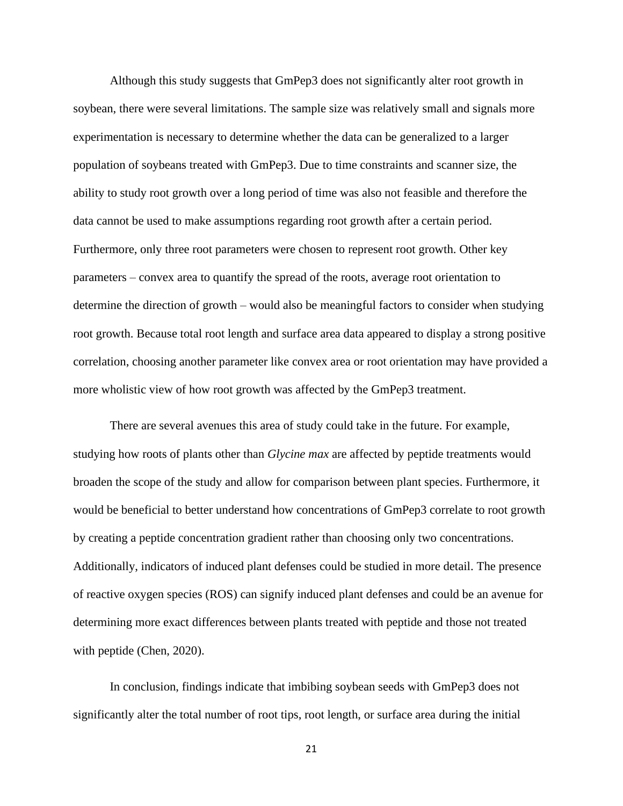Although this study suggests that GmPep3 does not significantly alter root growth in soybean, there were several limitations. The sample size was relatively small and signals more experimentation is necessary to determine whether the data can be generalized to a larger population of soybeans treated with GmPep3. Due to time constraints and scanner size, the ability to study root growth over a long period of time was also not feasible and therefore the data cannot be used to make assumptions regarding root growth after a certain period. Furthermore, only three root parameters were chosen to represent root growth. Other key parameters – convex area to quantify the spread of the roots, average root orientation to determine the direction of growth – would also be meaningful factors to consider when studying root growth. Because total root length and surface area data appeared to display a strong positive correlation, choosing another parameter like convex area or root orientation may have provided a more wholistic view of how root growth was affected by the GmPep3 treatment.

There are several avenues this area of study could take in the future. For example, studying how roots of plants other than *Glycine max* are affected by peptide treatments would broaden the scope of the study and allow for comparison between plant species. Furthermore, it would be beneficial to better understand how concentrations of GmPep3 correlate to root growth by creating a peptide concentration gradient rather than choosing only two concentrations. Additionally, indicators of induced plant defenses could be studied in more detail. The presence of reactive oxygen species (ROS) can signify induced plant defenses and could be an avenue for determining more exact differences between plants treated with peptide and those not treated with peptide (Chen, 2020).

In conclusion, findings indicate that imbibing soybean seeds with GmPep3 does not significantly alter the total number of root tips, root length, or surface area during the initial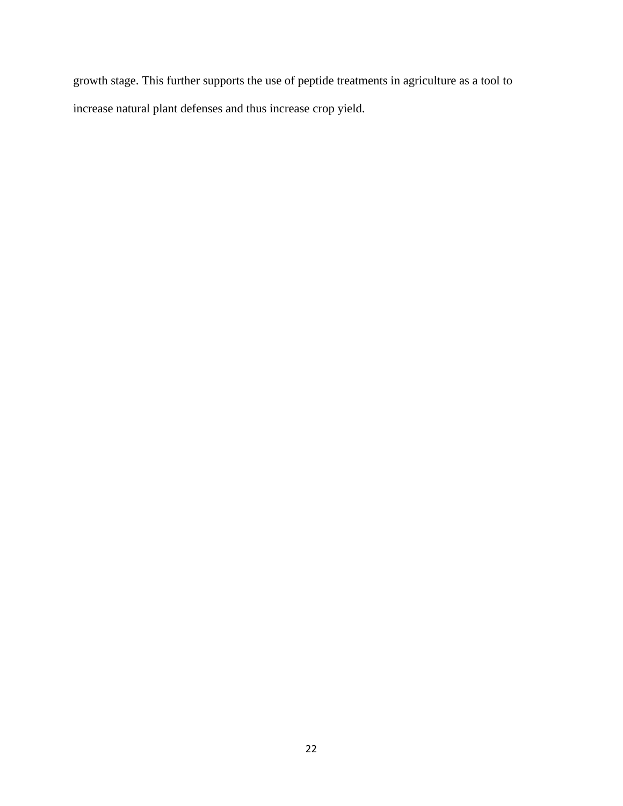growth stage. This further supports the use of peptide treatments in agriculture as a tool to increase natural plant defenses and thus increase crop yield.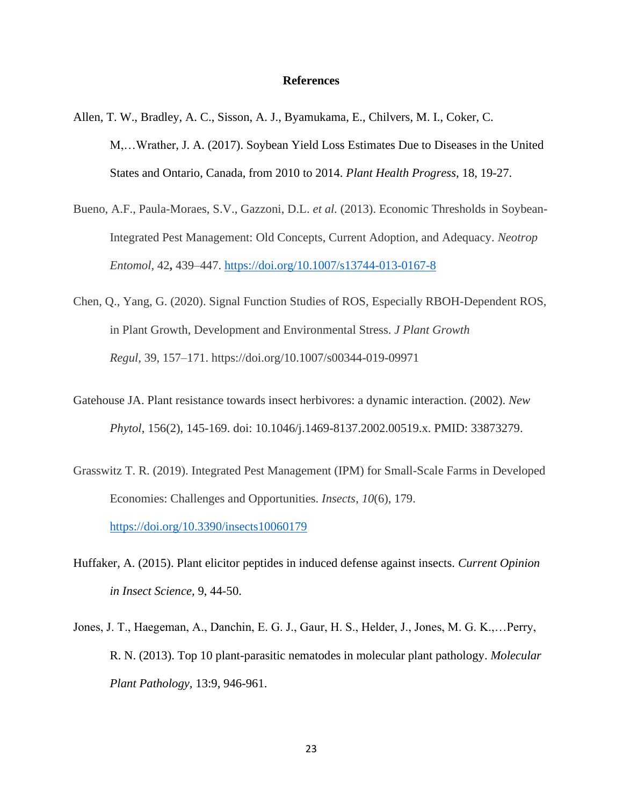#### **References**

- Allen, T. W., Bradley, A. C., Sisson, A. J., Byamukama, E., Chilvers, M. I., Coker, C. M,…Wrather, J. A. (2017). Soybean Yield Loss Estimates Due to Diseases in the United States and Ontario, Canada, from 2010 to 2014. *Plant Health Progress,* 18, 19-27.
- Bueno, A.F., Paula-Moraes, S.V., Gazzoni, D.L. *et al.* (2013). Economic Thresholds in Soybean-Integrated Pest Management: Old Concepts, Current Adoption, and Adequacy. *Neotrop Entomol,* 42**,** 439–447. <https://doi.org/10.1007/s13744-013-0167-8>
- Chen, Q., Yang, G. (2020). Signal Function Studies of ROS, Especially RBOH-Dependent ROS, in Plant Growth, Development and Environmental Stress. *J Plant Growth Regul,* 39, 157–171. https://doi.org/10.1007/s00344-019-09971
- Gatehouse JA. Plant resistance towards insect herbivores: a dynamic interaction. (2002). *New Phytol*, 156(2), 145-169. doi: 10.1046/j.1469-8137.2002.00519.x. PMID: 33873279.
- Grasswitz T. R. (2019). Integrated Pest Management (IPM) for Small-Scale Farms in Developed Economies: Challenges and Opportunities. *Insects*, *10*(6), 179. <https://doi.org/10.3390/insects10060179>
- Huffaker, A. (2015). Plant elicitor peptides in induced defense against insects. *Current Opinion in Insect Science,* 9, 44-50.
- Jones, J. T., Haegeman, A., Danchin, E. G. J., Gaur, H. S., Helder, J., Jones, M. G. K.,…Perry, R. N. (2013). Top 10 plant-parasitic nematodes in molecular plant pathology. *Molecular Plant Pathology,* 13:9, 946-961.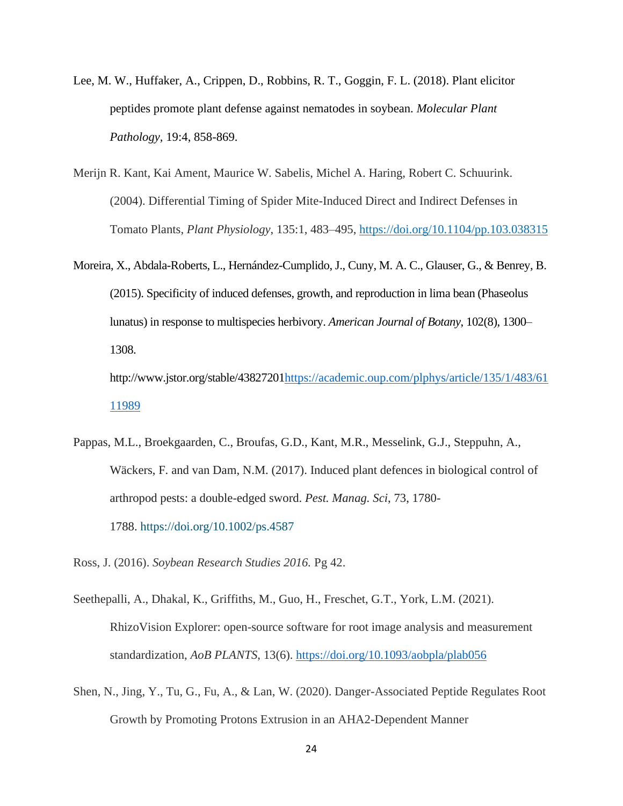- Lee, M. W., Huffaker, A., Crippen, D., Robbins, R. T., Goggin, F. L. (2018). Plant elicitor peptides promote plant defense against nematodes in soybean. *Molecular Plant Pathology,* 19:4, 858-869.
- Merijn R. Kant, Kai Ament, Maurice W. Sabelis, Michel A. Haring, Robert C. Schuurink. (2004). Differential Timing of Spider Mite-Induced Direct and Indirect Defenses in Tomato Plants, *Plant Physiology*, 135:1, 483–495, <https://doi.org/10.1104/pp.103.038315>
- Moreira, X., Abdala-Roberts, L., Hernández-Cumplido, J., Cuny, M. A. C., Glauser, G., & Benrey, B. (2015). Specificity of induced defenses, growth, and reproduction in lima bean (Phaseolus lunatus) in response to multispecies herbivory. *American Journal of Botany*, 102(8), 1300– 1308.

http://www.jstor.org/stable/4382720[1https://academic.oup.com/plphys/article/135/1/483/61](https://academic.oup.com/plphys/article/135/1/483/6111989) [11989](https://academic.oup.com/plphys/article/135/1/483/6111989)

Pappas, M.L., Broekgaarden, C., Broufas, G.D., Kant, M.R., Messelink, G.J., Steppuhn, A., Wäckers, F. and van Dam, N.M. (2017). Induced plant defences in biological control of arthropod pests: a double-edged sword. *Pest. Manag. Sci*, 73, 1780- 1788. <https://doi.org/10.1002/ps.4587>

Ross, J. (2016). *Soybean Research Studies 2016.* Pg 42.

- Seethepalli, A., Dhakal, K., Griffiths, M., Guo, H., Freschet, G.T., York, L.M. (2021). RhizoVision Explorer: open-source software for root image analysis and measurement standardization, *AoB PLANTS*, 13(6).<https://doi.org/10.1093/aobpla/plab056>
- Shen, N., Jing, Y., Tu, G., Fu, A., & Lan, W. (2020). Danger-Associated Peptide Regulates Root Growth by Promoting Protons Extrusion in an AHA2-Dependent Manner